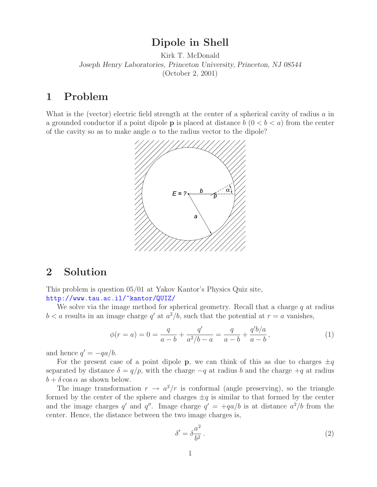## **Dipole in Shell**

Kirk T. McDonald *Joseph Henry Laboratories, Princeton University, Princeton, NJ 08544* (October 2, 2001)

## **1 Problem**

What is the (vector) electric field strength at the center of a spherical cavity of radius a in a grounded conductor if a point dipole **p** is placed at distance  $b \ (0 \lt b \lt a)$  from the center of the cavity so as to make angle  $\alpha$  to the radius vector to the dipole?



## **2 Solution**

This problem is question 05/01 at Yakov Kantor's Physics Quiz site, http://www.tau.ac.il/~kantor/QUIZ/

We solve via the image method for spherical geometry. Recall that a charge  $q$  at radius  $b < a$  results in an image charge q' at  $a^2/b$ , such that the potential at  $r = a$  vanishes,

$$
\phi(r=a) = 0 = \frac{q}{a-b} + \frac{q'}{a^2/b-a} = \frac{q}{a-b} + \frac{q'b/a}{a-b},\tag{1}
$$

and hence  $q' = -qa/b$ .

For the present case of a point dipole **p**, we can think of this as due to charges  $\pm q$ separated by distance  $\delta = q/p$ , with the charge  $-q$  at radius b and the charge  $+q$  at radius  $b + \delta \cos \alpha$  as shown below.

The image transformation  $r \to a^2/r$  is conformal (angle preserving), so the triangle formed by the center of the sphere and charges  $\pm q$  is similar to that formed by the center and the image charges q' and q''. Image charge  $q' = +qa/b$  is at distance  $a^2/b$  from the center. Hence, the distance between the two image charges is,

$$
\delta' = \delta \frac{a^2}{b^2} \,. \tag{2}
$$